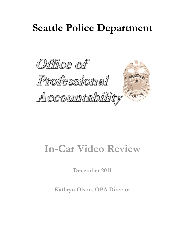# **Seattle Police Department**



# **In-Car Video Review**

**December 2011**

**Kathryn Olson, OPA Director**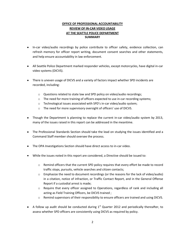## **OFFICE OF PROFESSIONAL ACCOUNTABILITY REVIEW OF IN-CAR VIDEO USAGE AT THE SEATTLE POLICE DEPARTMENT SUMMARY**

- In-car video/audio recordings by police contribute to officer safety, evidence collection, can refresh memory for officer report writing, document consent searches and other statements, and help ensure accountability in law enforcement.
- All Seattle Police Department marked responder vehicles, except motorcycles, have digital in-car video systems (DICVS).
- There is uneven usage of DICVS and a variety of factors impact whether SPD incidents are recorded, including:
	- o Questions related to state law and SPD policy on video/audio recordings;
	- o The need for more training of officers expected to use in-car recording systems;
	- o Technological issues associated with SPD's in-car video/audio system;
	- o The need for more supervisory oversight of officers' use of DICVS.
- Though the Department is planning to replace the current in-car video/audio system by 2013, many of the issues raised in this report can be addressed in the meantime.
- The Professional Standards Section should take the lead on studying the issues identified and a Command Staff member should oversee the process.
- The OPA Investigations Section should have direct access to in-car video.
- While the issues noted in this report are considered, a Directive should be issued to:
	- $\circ$  Remind officers that the current SPD policy requires that every effort be made to record traffic stops, pursuits, vehicle searches and citizen contacts;
	- $\circ$  Emphasize the need to document recordings (or the reasons for the lack of video/audio) in a citation, notice of infraction, or Traffic Contact Report, and in the General Offense Report if a custodial arrest is made;
	- o Require that every officer assigned to Operations, regardless of rank and including all acting as Field Training Officers, be DICVS trained ;
	- $\circ$  Remind supervisors of their responsibility to ensure officers are trained and using DICVS.
- A follow up audit should be conducted during  $1<sup>st</sup>$  Quarter 2012 and periodically thereafter, to assess whether SPD officers are consistently using DICVS as required by policy.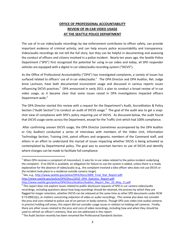# **OFFICE OF PROFESSIONAL ACCOUNTABILITY REVIEW OF IN-CAR VIDEO USAGE AT THE SEATTLE POLICE DEPARTMENT**

The use of in-car video/audio recordings by law enforcement contributes to officer safety, can provide important evidence of criminal activity, and can help ensure police accountability and transparency. Video/audio recordings do not tell the full story, but they can be helpful in documenting and assessing the conduct of officers and citizens involved in a police incident. Nearly ten years ago, the Seattle Police Department ("SPD") first recognized the potential for using in-car video and today, all SPD responder vehicles are equipped with a digital in-car video/audio recording system ("DICVS").

As the Office of Professional Accountability ("OPA") has investigated complaints, a variety of issues has surfaced related to officers' use of in-car video/audio.<sup>1</sup> The OPA Director and OPA Auditor, Ret. Judge Anne Levinson, have both documented inconsistent usage and discussed in various reports issues influencing DICVS practices.<sup>2</sup> OPA announced in early 2011 a plan to conduct a broad review of in-car video usage, as it became clear that some issues raised in OPA investigations impacted officers Department-wide.<sup>3</sup>

The OPA Director started this review with a request for the Department's Audit, Accreditation & Policy Section ("Audit Section") to conduct an audit of DICVS usage.<sup>4</sup> The goal of the audit was to get a snapshot view of compliance with SPD's policy requiring use of DICVS. As discussed below, the audit found that DICVS usage varies across the Department, except for the Traffic Unit which had 100% compliance.

After confirming uneven DICVS usage, the OPA Director (sometimes accompanied by the OPA Auditor or City Auditor) conducted a series of interviews with members of the Video Unit, Information Technology Section, Training Unit, patrol officers and sergeants, members of the Command staff, and others in an effort to understand the myriad of issues impacting whether DICVS is being activated as contemplated by Departmental policy. The goal was to ascertain barriers to use of DICVS and identify where changes can be made to facilitate full compliance.

 $\overline{a}$ 

 $1$  When OPA receives a complaint of misconduct, it asks for in-car video related to the police incident underlying the complaint. If no DICVS is available, an allegation for failure to use the system is added, unless there is a ready explanation for the absence of video/audio (e.g., the complaint involved a bike officer who does not use DICVS or the incident took place in a residence outside camera range).

<sup>&</sup>lt;sup>2</sup> See, e.g., [http://www.seattle.gov/police/OPA/Docs/2009\\_Final\\_Stat\\_Report.pdf;](http://www.seattle.gov/police/OPA/Docs/2009_Final_Stat_Report.pdf) [http://www.seattle.gov/police/OPA/Docs/2010\\_OPA\\_Statistics\\_Report.pdf;](http://www.seattle.gov/police/OPA/Docs/2010_OPA_Statistics_Report.pdf) [http://www.seattle.gov/police/OPA/Docs/Auditor/Auditor\\_Report\\_Dec\\_10\\_May\\_11.pdf](http://www.seattle.gov/police/OPA/Docs/Auditor/Auditor_Report_Dec_10_May_11.pdf)

 $^3$  This report does not explore issues related to public disclosure requests of SPD in-car camera video/audio recordings, including questions about how long recordings should be retained, the process by which they are flagged for longer retention, whether DICVS can be released at the same time as other SPD documents under RCW 9.73.090(1)(c), or matters concerning redaction of video or audio recordings. This review also does not consider the pros and cons related to police use of on-person or body cameras. Though SPD uses video (not audio) cameras in precinct holding cell areas, this report did not consider usage issues in relation to holding cell cameras. Finally, there are other issues related to the pros and cons of video recordings, including how and when they should be used to refresh an officer's memory, that are not addressed in this report.

 $<sup>4</sup>$  The Audit Section recently has been renamed the Professional Standards Section.</sup>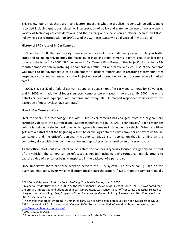This review found that there are many factors impacting whether a police incident will be video/audio recorded including questions related to interpretation of policy and state law on use of in-car video, a variety of technological considerations, and the training and supervision an officer receives on DICVS. Following a basic introduction to SPD's use of DICVS, these issues will be discussed in more detail.

### **History of SPD's Use of In-Car Cameras**

In November 2000, the Seattle City Council passed a resolution condemning racial profiling in traffic stops and calling on SPD to study the feasibility of installing video cameras in patrol cars to collect data to assess the issue.<sup>5</sup> By 2002, SPD began an In-Car Camera Pilot Project ("the Project"), launching a 12month demonstration by installing 17 cameras in Traffic Unit and patrol vehicles. Use of the cameras was found to be advantageous as a supplement to incident reports and in recording statements from suspects, victims and witnesses, and the Project endorsed phased deployment of cameras in all marked cars. 6

In 2003, SPD received a federal earmark supporting acquisition of in-car video cameras for 80 vehicles and in 2005, with additional federal support, cameras were placed in more cars. By 2007, the entire patrol car fleet was equipped with cameras and today, all SPD marked responder vehicles (with the exception of motorcycles) have cameras.<sup>7</sup>

## **How In-Car Cameras Work**

Over the years, the technology used with SPD's in-car cameras has changed, from the original hard cartridge videos to the current digital system manufactured by COBAN Technologies.<sup>8</sup> Each responder vehicle is assigned a single hard drive, which generally remains installed in the vehicle.<sup>9</sup> When an officer gets into a patrol car at the beginning a shift, he or she logs onto the car's computer and syncs up the incar camera and the officer's personal microphone. DICVS is an application that is running on the computer, along with other communication and reporting systems used by an officer on patrol.

As the officer starts out in a patrol car on a shift, the camera is typically focused straight ahead in front of the vehicle. The camera can be refocused as needed, including being turned completely around to capture video of a prisoner being transported in the backseat of a patrol car.

Once underway, there are three ways to activate the DICV system. An officer can: (1) flip on the overhead emergency lights which will automatically start the camera;<sup>10</sup> (2) turn on the camera manually

<sup>5</sup> *City Council Approves Study on Racial Profiling*, The Seattle Times, Nov. 7, 2000.

 $^6$  In a nation-wide study begun in 2002 by the International Association of Chiefs of Police (IACP), it was noted that the primary impetus behind adoption of in-car camera usage was concern over officer safety and issues related to charges of racial profiling. See, "Impact of Video Evidence on Modern Policing; Research and Best Practices from IACP Study on In-Car Cameras."

 $^7$  This means that officers working in unmarked cars, such as some gang detectives, do not have access to DICVS.  $^8$  SPD uses version 1.5.131, adopted 4<sup>th</sup> Quarter 2009. For more detailed information about the system, see: <http://www.cobantech.com/www/>

 $^9$  DP&P 17.260.III.A.13.

 $10$  Emergency lights must be on for more than 8 seconds for the DICV to activate.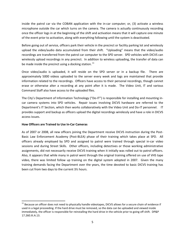inside the patrol car via the COBAN application with the in-car computer; or, (3) activate a wireless microphone outside the car which turns on the camera. The camera is actually continuously recording once the officer logs in at the beginning of the shift and activation means that it will capture one minute of the event prior to activation, along with everything following until the system is deactivated.

Before going out of service, officers park their vehicle in the precinct or facility parking lot and wirelessly upload the video/audio data accumulated from their shift. "Uploading" means that the video/audio recordings are transferred from the patrol car computer to the SPD server. SPD vehicles with DICVS can wirelessly upload recordings in any precinct. In addition to wireless uploading, the transfer of data can be made inside the precinct using a docking station.  $11$ 

Once video/audio is uploaded, it will reside on the SPD server or in a backup file. There are approximately 5000 videos uploaded to the server every week and logs are maintained that provide information related to the recordings. Officers have access to their personal recordings, though cannot erase or otherwise alter a recording at any point after it is made. The Video Unit, IT and various Command Staff also have access to the uploaded files.

The City's Department of Information Technology ("Do-IT") is responsible for installing and mounting incar camera systems into SPD vehicles. Repair issues involving DICVS hardware are referred to the Department's IT Section, which then works collaboratively with the Video Unit and Do-IT personnel. IT provides support and backup as officers upload the digital recordings wirelessly and have a role in DICVS access issues.

## **How Officers are Trained to Use In-Car Cameras**

 $\overline{a}$ 

As of 2007 or 2008, all new officers joining the Department receive DICVS instruction during the Post-Basic Law Enforcement Academy (Post-BLEA) phase of their training which takes place at SPD. All officers already employed by SPD and assigned to patrol were trained through special in-car video sessions and during Street Skills. Other officers, including detectives or those working administrative assignments, did not necessarily receive DICVS training when it initially was rolled out to patrol officers. Also, it appears that while many in patrol went through the original training offered on use of VHS tape video, there was limited follow up training on the digital system adopted in 2007. Given the many training demands facing the Department over the years, the time devoted to basic DICVS training has been cut from two days to the current 3½ hours.

<sup>&</sup>lt;sup>11</sup> Because an officer does not need to physically handle videotapes, DICVS allows for a secure chain of evidence if used in a legal proceeding. If the hard drive must be removed, so the data can be uploaded and viewed inside immediately, the officer is responsible for reinstalling the hard drive in the vehicle prior to going off shift. DP&P 17.260.III.A.13.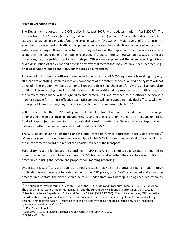#### **SPD's In-Car Video Policy**

The Department adopted the DICVS policy in August 2007, with updates made in April 2009.<sup>12</sup> The introduction to SPD's policy (in the original and current version) provides: "Sworn Department members assigned a digital in-car video/audio recording system (DICVS) will make every effort to use the equipment to document all traffic stops, pursuits, vehicle searches and citizen contacts when occurring within camera range. If reasonable to do so, they will record their approach to crime scenes and any scene they feel could benefit from being recorded. If practical, the camera will be activated to record infractions, i.e., the justification for traffic stops. Officers may supplement the video recording with an audio description of the event and describe any external factors that may not have been recorded, e.g., prior observations, road conditions, contributing circumstances."<sup>13</sup>

Prior to going into service, officers are expected to ensure that all DICVS equipment is working properly: "If there are operating problems with any component of the system (video or audio), the system will not be used. The problem will be documented on the officer's log sheet and/or VMDT, and a supervisor notified. Before starting patrol, the video camera will be positioned to properly record traffic stops, and the wireless microphone will be synced to that camera unit and attached to the officer's person in a manner suitable for its most effective use. Microphones will be assigned to individual officers, who will be responsible for ensuring they are sufficiently charged to complete each shift."<sup>14</sup>

2009 revisions to the DICVS policy and related Directives that were issued about the changes emphasized the importance of documenting recordings in a citation, notice of infraction, or Traffic Contact Report (written warning). If a custodial arrest is made, the General Offense Report should indicate whether the contact was recorded or not by DICVS.<sup>15</sup>

The SPD policy covering Prisoner Handling and Transport further addresses in-car video protocol.<sup>16</sup> When a prisoner is placed into a vehicle equipped with DICVS, "as soon as practical, officer(s) will turn the in-car camera toward the rear of the vehicle" to record the transport.

Supervisory responsibilities are also outlined in SPD policy. For example, supervisors are required to monitor whether officers have completed DICVS training and whether they are following policy and procedures in using the system and properly documenting recordings.

Under state law, officers are required to notify citizens that voice recordings are being made, though notification is not necessary for video alone. Under SPD policy, once DICVS is activated and as soon as practical in a contact, the citizen should be told, "Under state law this stop is being recorded by sound

 $12$  The original policy was found in Section 1.354 of the SPD Policies and Procedures Manual, 354 – In-Car Video. The entire manual went through reorganization and the current policy is found in Patrol Operations, 17.260.

<sup>&</sup>lt;sup>13</sup> See Seattle Police Department Policy and Practice 17.260 (DP&P 17.260). The policy continues, "Officers will not record political or religious activities that are not relevant to a crime or the investigation of a criminal act, e.g., peaceful demonstration/rally. Recording of such an event may occur and be collected only as an incidental reference allowed by SMC 14.12."

<sup>14</sup> DP&P 17.260 III A.1.a.

 $15$  See DP&P 17.260.III.8. and Directives issued April 14 and May 14, 2009.

<sup>16</sup> DP&P 6.071.II.D.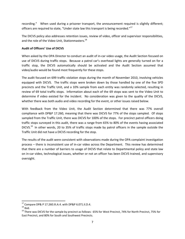recording." When used during a prisoner transport, the announcement required is slightly different; officers are required to state, "Under state law this transport is being recorded."<sup>17</sup>

The DICVS policy also addresses retention issues, review of video, officer and supervisor responsibilities, and the role of the Video Unit, Stationmasters.<sup>18</sup>

## **Audit of Officers' Use of DICVS**

When asked by the OPA Director to conduct an audit of in-car video usage, the Audit Section focused on use of DICVS during traffic stops. Because a patrol car's overhead lights are generally turned on for a traffic stop, the DICVS automatically should be activated and the Audit Section assumed that video/audio would be found most frequently for these stops.

The audit focused on 699 traffic violation stops during the month of November 2010, involving vehicles equipped with DICVS. The traffic stops were broken down by those handled by one of the five SPD precincts and the Traffic Unit, and a 10% sample from each entity was randomly selected, resulting in review of 69 total traffic stops. Information about each of the 69 stops was sent to the Video Unit to determine if video existed for the incident. No consideration was given to the quality of the DICVS, whether there was both audio and video recording for the event, or other issues raised below.

With feedback from the Video Unit, the Audit Section determined that there was 77% overall compliance with DP&P 17.260, meaning that there was DICVS for 77% of the stops sampled. Of stops sampled from the Traffic Unit, there was DICVS for 100% of the stops. For precinct patrol officers doing traffic stops surveyed in this audit, there was a range from 65% to 80% of the events having associated DICVS.<sup>19</sup> In other words, 20 to 35% of traffic stops made by patrol officers in the sample outside the Traffic Unit did not have a DICVS recording for the stop.

The results of the audit were consistent with observations made during the OPA complaint investigation process – there is inconsistent use of in-car video across the Department. This review has determined that there are a number of barriers to usage of DICVS that relate to Departmental policy and state law on in-car video, technological issues, whether or not an officer has been DICVS trained, and supervisory oversight.

 $\overline{a}$ 

 $^{17}$  Compare DP& P 17.260.III.A.4. with DP&P 6.071.II.D.4.

 $18$  Ibid.

<sup>&</sup>lt;sup>19</sup> There was DICVS for the sample by precinct as follows:  $65%$  for West Precinct, 74% for North Precinct, 75% for East Precinct, and 80% for South and Southwest Precincts.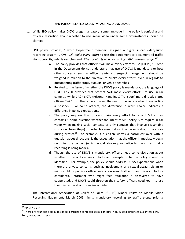#### **SPD POLICY RELATED ISSUES IMPACTING DICVS USAGE**

1. While SPD policy makes DICVS usage mandatory, some language in the policy is confusing and officers' discretion about whether to use in-car video under some circumstances should be clarified.

SPD policy provides, "Sworn Department members assigned a digital in-car video/audio recording system (DICVS) *will make every effort* to use the equipment to document all traffic stops, pursuits, vehicle searches and *citizen contacts* when occurring *within camera range*."<sup>20</sup>

- a. The policy provides that officers "will make every effort to use [DICVS]." Some in the Department do not understand that use of DICVS is mandatory or how other concerns, such as officer safety and suspect management, should be weighed in relation to the direction to "make every effort," even in regards to documenting traffic stops, pursuits, or vehicle searches.
- b. Related to the issue of whether the DICVS policy is mandatory, the language of DP&P 17.260 provides that officers "will make every effort" to use in-car cameras, while DP&P 6.071 (Prisoner Handling & Transport) more directly states officers "will" turn the camera toward the rear of the vehicle when transporting a prisoner. For some officers, the difference in word choice indicates a difference in policy expectations.
- c. The policy requires that officers make every effort to record "all…citizen contacts." Some question whether the intent of SPD policy is to require in-car video when making social contacts or only contacts that involve reasonable suspicion (Terry Stops) or probable cause that a crime has or is about to occur or during arrests.<sup>21</sup> For example, if a citizen waives a patrol car over with a question about directions, is the expectation that the officer immediately begin recording the contact (which would also require notice to the citizen that a recording is being made)?
- d. Though the use of DICVS is mandatory, officers need some discretion about whether to record certain contacts and exceptions to the policy should be identified. For example, the policy should address DICVS expectations when there are privacy concerns, such as involvement of a sexual assault victim or minor child, or public or officer safety concerns. Further, if an officer contacts a confidential informant who might face retaliation if discovered to have cooperated, and DICVS could threaten their safety, officers need room to use their discretion about using in-car video.

The International Association of Chiefs of Police ("IACP") Model Policy on Mobile Video Recording Equipment, March 2005, limits mandatory recording to traffic stops, priority

 $^{20}$  DP&P 17.260.

 $21$  There are four principle types of police/citizen contacts: social contacts, non-custodial/consensual interviews, Terry stops, and arrests.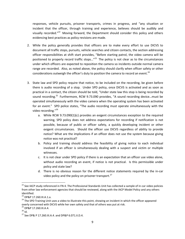responses, vehicle pursuits, prisoner transports, crimes in progress, and "any situation or incident that the officer, through training and experience, believes should be audibly and visually recorded."<sup>22</sup> Moving forward, the Department should consider this policy and others evidencing best practices as policy revisions are made.

- 2. While the policy generally provides that officers are to make every effort to use DICVS to document all traffic stops, pursuits, vehicle searches and citizen contacts, the section addressing officer responsibilities at shift start provides, "Before starting patrol, the video camera will be positioned to properly record traffic stops..."<sup>23</sup> The policy is not clear as to the circumstances under which officers are expected to reposition the camera so incidents outside normal camera range are recorded. Also, as noted above, the policy should clarify when officer safety or other considerations outweigh the officer's duty to position the camera to record an event.<sup>24</sup>
- 3. State law and SPD policy require that notice, to be included on the recording, be given before there is audio recording of a stop. Under SPD policy, once DICVS is activated and as soon as practical in a contact, the citizen should be told, "Under state law this stop is being recorded by sound recording.<sup>25</sup> Furthermore, RCW 9.73.090 provides, "A sound recording device...must be operated simultaneously with the video camera when the operating system has been activated for an event." SPD police states, "The audio recording must operate simultaneously with the video recording."<sup>26</sup>
	- a. While RCW 9.73.090(1)(c) provides an exigent circumstances exception to the required warning, SPD policy does not address expectations for recording if notification is not possible, because of public or officer safety, a quickly developing incident or other exigent circumstances. Should the officer use DICVS regardless of ability to provide notice? What are the implications if an officer does not use the system because giving notice was not practical?
	- b. Policy and training should address the feasibility of giving notice to each individual involved if an officer is simultaneously dealing with a suspect and victim or multiple witnesses.
	- c. It is not clear under SPD policy if there is an expectation that an officer use video alone, without audio recording an event, if notice is not practical. Is this permissible under policy and state law?
	- d. There is no obvious reason for the different notice statements required by the in-car video policy and the policy on prisoner transport. $^{27}$

 $22$  See IACP study referenced in FN 4. The Professional Standards Unit has collected a sample of in-car video policies from other law enforcement agencies that should be reviewed, along with the IACP Model Policy and any others identified.

<sup>23</sup> DP&P 17.260.III.A.1.a.

<sup>&</sup>lt;sup>24</sup> The SPD Training Unit uses a video to illustrate this point, showing an incident in which the officer appeared overly concerned with DICVS while her own safety and that of others was put at risk.

<sup>25</sup> DP&P 17.260.III.A.4.

 $26$  Id.

<sup>27</sup> See DP& P 17.260.III.A.4. and DP&P 6.071.II.D.4.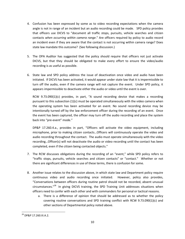- 4. Confusion has been expressed by some as to video recording expectations when the camera angle is not in range of an incident but an audio recording could be made. SPD policy provides that officers use DICVS to "document all traffic stops, pursuits, vehicle searches and citizen contacts *when occurring within camera range*." Are officers required by policy to audio record an incident even if they are aware that the contact is not occurring within camera range? Does state law mandate this outcome? (See following discussion.)
- 5. The OPA Auditor has suggested that the policy should require that officers not just activate DICVS, but that they should be obligated to make every effort to ensure the video/audio recording is as useful as possible.
- 6. State law and SPD policy address the issue of deactivation once video and audio have been initiated. If DICVS has been activated, it would appear under state law that it is impermissible to turn off the audio, even if the camera range will not capture the event. Under SPD policy, it appears impermissible to deactivate either the audio or video until the event is over.

RCW 9.73.090(1)(c) provides, in part, "A sound recording device that makes a recording pursuant to this subsection (1)(c) must be operated simultaneously with the video camera when the operating system has been activated for an event. No sound recording device may be intentionally turned off by the law enforcement officer during the recording of an event. Once the event has been captured, the officer may turn off the audio recording and place the system back into "pre-event" mode."

DP&P 17.260.4.a., provides in part, "Officers will activate the video equipment, including microphone, prior to making citizen contacts…Officers will continuously operate the video and audio recording throughout the contact. The audio must operate simultaneously with the video recording…Officer(s) will not deactivate the audio or video recording until the contact has been completed, even if the citizen being contacted objects."

- 7. The RCW discusses obligations during the recording of an "event," while SPD policy refers to "traffic stops, pursuits, vehicle searches and citizen contacts" or "contact." Whether or not there are significant differences in use of these terms, there is confusion for some.
- 8. Another issue relates to the discussion above, in which state law and Department policy require continuous video and audio recording once initiated. However, policy also provides, "Conversations between officers during routine patrol should not be recorded, absent unusual circumstances."<sup>28</sup> In giving DICVS training, the SPD Training Unit addresses situations when officers need to confer with each other and with commanders for personal or tactical reasons.
	- a. There is a difference of opinion that should be addressed as to whether the policy covering routine conversations and SPD training conflict with RCW 9.73.090(1)(c) and other sections of Departmental policy noted above.

 $\overline{\phantom{a}}$ <sup>28</sup> DP&P 17.260.III.A.2.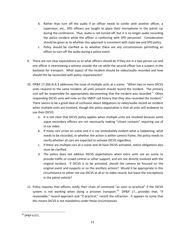- b. Rather than turn off the audio if an officer needs to confer with another officer, a supervisor, etc., SPD officers are taught to place their microphone in the patrol car during the conference. Thus, audio is not turned off, but it is no longer audio recording the police incident while the officer is conferring with SPD personnel. Consideration should be given as to whether this approach is consistent with state law and SPD policy.
- c. Policy should be clarified as to whether there are any circumstances permitting an officer to turn off the audio during a police event.
- 9. There are not clear expectations as to what officers should do if they are in a two person car and one officer is interviewing a witness outside the car while the second officer has a suspect in the backseat for transport. What aspect of the incident should be video/audio recorded and how should this be reconciled with policy requirements?
- 10. DP&P 17.260.III.A.3 addresses the issue of multiple units at a scene: "When two or more DICVS units respond to the same incident, all units present should record the incident. The primary unit will be responsible for appropriately documenting that the incident was recorded." Other responding DICVS units will note on the VMDT call history that they also recorded the incident." There seems to be a great deal of confusion about obligations to video/audio record an incident when multiple units are involved, though the policy expectation is that all units will endeavor to use their DICVS.
	- a. It is not clear that DICVS policy applies when multiple units are involved because some argue secondary officers are not necessarily making "citizen contacts" requiring use of in-car video.
	- b. If many cars arrive on scene and it is not immediately evident what is happening, what needs to be recorded, or whether the action is within camera frame, the policy needs to clarify whether all cars are expected to activate DICVS regardless.
	- c. If there are multiple cars at a scene and all have DICVS activated, notice obligations also must be clarified.
	- d. The policy does not address DICVS expectations when extra units are on scene to provide traffic or crowd control or other support, and are not directly involved with the original incident. If DICVS is to be activated, should the camera be focused on the original event and suspects or on the ancillary actions? Would it be appropriate in this circumstance to either not use DICVS at all or to video record, but leave the microphone in the patrol vehicle?
- 11. Policy requires that officers notify their chain of command "as soon as practical" if the DICVS system is not working when doing a prisoner transport.<sup>29</sup> DP&P 17....provides that, "if reasonable," record approach and "if practical," record the infraction. It appears to some that this means DICVS is not mandatory under these circumstances.

 $\overline{\phantom{a}}$  $^{29}$  DP&P 6.071.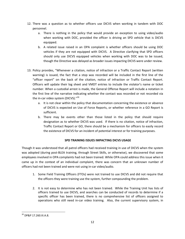- 12. There was a question as to whether officers use DICVS when working in tandem with DOC personnel.
	- a. There is nothing in the policy that would provide an exception to using video/audio when working with DOC, provided the officer is driving an SPD vehicle that is DICVS equipped.
	- b. A related issue raised in an OPA complaint is whether officers should be using DOC vehicles if they are not equipped with DICVS. A Directive clarifying that SPD officers should only use DICVS equipped vehicles when working with DOC was to be issued, though the Directive was delayed as broader issues impacting DICVS were under review.
- 13. Policy provides, "Whenever a citation, notice of infraction or a Traffic Contact Report (written warning) is issued, the fact that a stop was recorded will be included in the first line of the "officer report" on the back of the citation, notice of infraction or Traffic Contact Report. Officers will update their log sheet and VMDT entries to include the violator's name or ticket number. When a custodial arrest is made, the General Offense Report will include a notation in the first line of the narrative indicating whether the contact was recorded or not recorded via the in-car video system (DICVS)."<sup>30</sup>
	- a. It is not clear within the policy that documentation concerning the existence or absence of DICVS is expected on Use of Force Reports, or whether reference in a GO Report is sufficient.
	- b. There may be events other than those listed in the policy that should require designation as to whether DICVS was used. If there is no citation, notice of infraction, Traffic Contact Report or GO, there should be a mechanism for officers to easily record the existence of DICVS for an incident of potential interest or for training purposes.

## **SPD TRAINING ISSUES IMPACTING DICVS USAGE**

Though it was understood that all patrol officers had received training in use of DICVS when the system was adopted (during post-BLEA training, through Street Skills, or otherwise), we discovered that some employees involved in OPA complaints had not been trained. While OPA could address this issue when it came up in the context of an individual complaint, there was concern that an unknown number of officers had not been trained and were not using in-car video/audio.

- 1. Some Field Training Officers (FTOs) were not trained to use DICVS and did not require that the officers they were training use the system, further compounding the problem.
- 2. It is not easy to determine who has not been trained. While the Training Unit has lists of officers trained to use DICVS, and searches can be conducted of records to determine if a specific officer has been trained, there is no comprehensive list of officers assigned to operations who still need in-car video training. Also, the current supervisory system, in

 $\overline{\phantom{a}}$ <sup>30</sup> DP&P 17.260.III.A.8.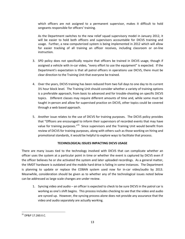which officers are not assigned to a permanent supervisor, makes it difficult to hold sergeants responsible for officers' training.

As the Department switches to the new relief squad supervisory model in January 2012, it will be easier to hold both officers and supervisors accountable for DICVS training and usage. Further, a new computerized system is being implemented in 2012 which will allow for easier tracking of all training an officer receives, including classroom or on-line instruction.

- 3. SPD policy does not specifically require that officers be trained in DICVS usage, though if assigned a vehicle with in-car video, "every effort to use the equipment" is expected. If the Department's expectation is that all patrol officers in operations use DICVS, there must be clear direction to the Training Unit that everyone be trained.
- 4. Over the years, DICVS training has been reduced from two full days to one day to its current 3½ hour block level. The Training Unit should consider whether a variety of training options is a preferable approach, from basic to advanced and for trouble-shooting on specific DICVS topics. Different classes may require different amounts of time and, while some must be taught in-person and allow for supervised practice on DICVS, other topics could be covered through a web based approach.
- 5. Another issue relates to the use of DICVS for training purposes. The DICVS policy provides that "Officers are encouraged to inform their supervisors of recorded events that may have value for training purposes."<sup>31</sup> Since supervisors and the Training Unit would benefit from review of DICVS for training purposes, along with others such as those working on hiring and promotional standards, it would be helpful to explore ways to facilitate that process.

## **TECHNOLOGICAL ISSUES IMPACTING DICVS USAGE**

There are many issues tied to the technology involved with DICVS that can complicate whether an officer uses the system at a particular point in time or whether the event is captured by DICVS even if the officer believes he or she activated the system and later uploaded recordings. As a general matter, the VMDT hardware is outdated and the mobile hard drive is failing in some instances. The Department is planning to update or replace the COBAN system used now for in-car video/audio by 2013. Meanwhile, consideration should be given as to whether any of the technological issues noted below can be addressed as large scale changes are under review.

1. Syncing video and audio – an officer is expected to check to be sure DICVS in the patrol car is working as one's shift begins. This process includes checking to see that the video and audio are synced up. However, the syncing process alone does not provide any assurance that the video and audio separately are actually working.

 $\overline{\phantom{a}}$ <sup>31</sup> DP&P 17.260.II.C.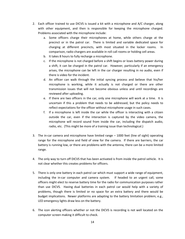- 2. Each officer trained to use DICVS is issued a kit with a microphone and A/C charger, along with other equipment, and then is responsible for keeping the microphone charged. Problems associated with the microphone include:
	- a. Some officers charge their microphones at home, while others charge at the precinct or in the patrol car. There is limited and variable dedicated space for charging at different precincts, with most situated in the locker rooms. In comparison, radio chargers are available in roll call rooms or holding cell areas.
	- b. It takes 8 hours to fully recharge a microphone.
	- c. If the microphone is not charged before a shift begins or loses battery power during a shift, it can be charged in the patrol car. However, particularly if an emergency arises, the microphone can be left in the car charger resulting in no audio, even if there is video for the incident.
	- d. An officer can walk through the initial syncing process and believe that his/her microphone is working, while it actually is not charged or there are other transmission issues that will not become obvious unless and until recordings are reviewed after uploading.
	- e. If there are two officers in the car, only one microphone will work at a time. It is uncertain if this a problem that needs to be addressed, but the policy needs to reflect expectations for the officer without microphone usage in such cases.
	- f. If a microphone is left inside the car while the officer is interacting with a citizen outside the car, even if the interaction is captured by the video camera, the microphone will record sound from inside the car, including the dispatch audio, radio, etc. (This might be more of a training issue than technological.)
- 3. The in-car camera and microphone have limited range 1000 feet (line of sight) operating range for the microphone and field of view for the camera. If there are barriers, the car battery is running low, or there are problems with the antenna, there can be a more limited range.
- 4. The only way to turn off DICVS that has been activated is from inside the patrol vehicle. It is not clear whether this creates problems for officers.
- 5. There is only one battery in each patrol car which must support a wide range of equipment, including the in-car computer and camera system. If headed to an urgent call, some officers might elect to reserve battery time for the radio for communication purposes rather than use DICVS. Having dual batteries in each patrol car would help with a variety of problems, though there is limited or no space for an extra battery and there would be budget implications. Newer platforms are adapting to the battery limitation problem; e.g., LED emergency lights draw less on the battery.
- 6. The icon alerting officers whether or not the DICVS is recording is not well located on the computer screen making it difficult to check.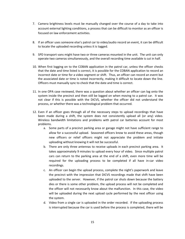- 7. Camera brightness levels must be manually changed over the course of a day to take into account external lighting conditions, a process that can be difficult to monitor as an officer is focused on law enforcement activities.
- 8. If an officer uses someone else's patrol car to video/audio record an event, it can be difficult to locate the uploaded recording unless it is tagged.
- 9. SPD transport vans might have two or three cameras mounted in the unit. The unit can only operate two cameras simultaneously, and the overall recording time available is cut in half.
- 10. When first logging on to the COBAN application in the patrol car, unless the officer checks that the date and time listed is correct, it is possible for the COBAN application to record an incorrect date or time for a video segment or shift. Thus, an officer can record an event but the associated date or time is noted incorrectly, making it difficult to locate down the line. Officers must manually sync to check that the date and time is correct.
- 11. In one OPA case reviewed, there was a question about whether an officer can log onto the system inside the precinct and then still be logged on when moving to a patrol car. It was not clear if this is possible with the DICVS, whether the officer did not understand the process, or whether there was a technological problem that occurred.
- 12. Even if an officer goes through all of the necessary steps to upload recordings that have been made during a shift, the system does not consistently upload all (or any) video. Wireless bandwidth limitations and problems with patrol car batteries account for most problems.
	- a. Some parts of a precinct parking area or garage might not have sufficient range to allow for a successful upload. Seasoned officers know to avoid these areas, though new officers or relief officers might not appreciate the problem and initiate uploading without knowing it will not be successful.
	- b. There are only three antennas to receive uploads in each precinct parking area. It takes approximately 9 minutes to upload every hour of video. Since multiple patrol cars can return to the parking area at the end of a shift, even more time will be required for the uploading process to be completed if all have in-car video recordings.
	- c. An officer can begin the upload process, complete the night's paperwork and leave the precinct with the impression that DICVS recordings made that shift have been uploaded to the server. However, if the patrol car shuts down because the battery dies or there is some other problem, the upload process will not be completed and the officer will not necessarily know about the malfunction. In this case, the video will be uploaded during the next upload cycle performed by the next officer using the system.
	- d. Video from a single car is uploaded in the order recorded. If the uploading process is interrupted because the car is used before the process is completed, there will be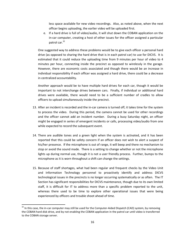less space available for new video recordings. Also, as noted above, when the next officer begins uploading, the earlier video will be uploaded first.

e. If a hard drive is full of video/audio, it will shut down the COBAN application on the in-car computer, creating a host of other issues for the officer assigned a particular patrol car.<sup>32</sup>

One suggested way to address these problems would be to give each officer a personal hard drive (as opposed to sharing the hard drive that is in each patrol car) to use for DICVS. It is estimated that it could reduce the uploading time from 9 minutes per hour of video to 4 minutes per hour, connecting inside the precinct as opposed to wirelessly in the garage. However, there are economic costs associated and though there would be an increase in individual responsibility if each officer was assigned a hard drive, there could be a decrease in centralized accountability.

Another approach would be to have multiple hard drives for each car, though it would be important to not interchange drives between cars. Finally, if individual or additional hard drives were available, there would need to be a sufficient number of cradles to allow officers to upload simultaneously inside the precinct.

- 13. After an incident is recorded and the in-car camera is turned off, it takes time for the system to process the video. During this period, the camera cannot be used for other recordings and the officer cannot add an incident number. During a busy Saturday night, an officer might be engaged in series of emergent incidents or calls, processing video/audio from one while expected to record the subsequent event.
- 14. There are audible tones and a green light when the system is activated, and it has been reported that this could be safety concern if an officer does not wish to alert a suspect of his/her presence. If the microphone is out of range, it will beep and there no mechanism to stop or avoid the sound made. There is a setting to change whether or not the microphone lights up during normal use, though it is not a user friendly process. Further, bumps to the microphone as it is worn throughout a shift can change the settings.
- 15. Because of staff shortages, what had been regular and frequent checks by the Video Unit and Information Technology personnel to proactively identify and address DICVS technological issues in the precincts is no longer occurring systematically or as often. The IT Section has significant responsibilities for DICVS maintenance, though due to its own limited staff, it is difficult for IT to address more than a specific problem reported to the unit, whereas there used to be time to explore other operational issues that were being experienced by officers and trouble shoot ahead of time.

 $32$  In this case, the in-car computer may still be used for the Computer-Aided Dispatch (CAD) system, by removing the COBAN hard disk drive, and by not enabling the COBAN application in the patrol car until video is transferred to the COBAN storage server.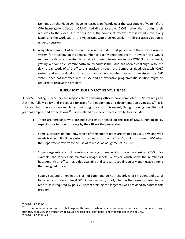Demands on the Video Unit have increased significantly over the past couple of years. If the OPA Investigations Section (OPA-IS) had direct access to DICVS, rather than routing their requests to the Video Unit for response, the complaint review process could move along faster and the workload of the Video Unit would be reduced. The direct access option is under discussion.

16. A significant amount of time could be saved by Video Unit personnel if there was a routine system for attaching an incident number to each videotaped event. However, this would require the Versaterm system to provide incident information and for COBAN to consume it; getting vendors to customize software to address the issue has been a challenge. Also, the day to day work of SPD officers is tracked through the Computer-aided Dispatch (CAD) system and most calls do not result in an incident number. As with Versaterm, the CAD system does not interface with DICVS, and an expensive programmatic solution might be required to resolve the problem.

## **SUPERVISORY ISSUES IMPACTING DICVS USAGE**

Under SPD policy, supervisors are responsible for ensuring officers have completed DICVS training and that they follow policy and procedure for use of the equipment and documentation associated.<sup>33</sup> It is not clear that supervisors are regularly monitoring officers in this regard, though training over the past year has emphasized expectations.<sup>34</sup> Issues related to supervisory responsibilities include:

- 1. There are sergeants who are not sufficiently trained on the use of DICVS, nor on policy expectations to monitor usage by the officers they supervise.
- 2. Some suprvisors do not know which of their subordinates are trained to use DICVS and who needs training. It will be easier for sergeants to track officers' training and use of ICV when the Department reverts to the use of relief squad assignments in 2012.
- 3. Some sergeants are not regularly checking to see which officers are using DICVS. For example, the Video Unit maintains usage sheets by officer which show the number of hours/month an officer has video available and sergeants could regularly audit usage among their assigned officers.
- 4. Supervisors and others in the chain of command do not regularly check incident and use of force reports to determine if DICVS was used and, if not, whether the reason is noted in the report, as is required by policy. Recent training for sergeants was provided to address this problem.<sup>35</sup>

 $\overline{a}$ 

 $33$  DP&P 17.260.IV.

<sup>&</sup>lt;sup>34</sup> There is an unfair labor practice challenge on the issue of when persons within an officer's line of command have authority to review the officer's video/audio recordings. That issue is not the subject of this review. <sup>35</sup> DP&P 17.260.III.A.8.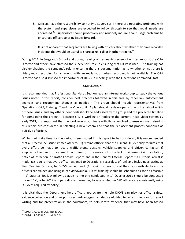- 5. Officers have the responsibility to notify a supervisor if there are operating problems with the system and supervisors are expected to follow through to see that repair needs are addressed.<sup>36</sup> Supervisors should proactively and routinely inquire about usage problems to encourage officers to bring issues forward.
- 6. It is not apparent that sergeants are talking with officers about whether they have recorded incidents that would be useful to share at roll call or in other training.<sup>37</sup>

During 2011, in Sergeant's School and during training on sergeants' review of written reports, the OPA Director and others have stressed the supervisor's role in ensuring that DICVs is used. The training has also emphasized the sergeant's role in ensuring there is documentation as to whether or not there is video/audio recording for an event, with an explanation when recording is not available. The OPA Director has also discussed the importance of DICVS in meetings with the Operations Command Staff.

#### **CONCLUSION**

It is recommended that Professional Standards Section lead an internal workgroup to study the various issues noted in this report, consider best practices followed in this area by other law enforcement agencies, and recommend changes as needed. The group should include representatives from Operations, OPA, Training, IT and the Video Unit. A plan should be developed at the outset about which of these issues (and any others identified) should be addressed by the group and the projected timeline for completing the project. Because SPD is working on replacing the current in-car video system by early 2013, it is important that the workgroup coordinate with those involved to ensure issues raised in this report are considered in selecting a new system and that the replacement process continues as quickly as feasible.

While it will take time for the various issues noted in this report to be considered, it is recommended that a Directive be issued immediately to: (1) remind officers that the current DICVS policy requires that every effort be made to record traffic stops, pursuits, vehicle searches and citizen contacts; (2) emphasize the need to document recordings (or the reasons for the lack of video/audio) in a citation, notice of infraction, or Traffic Contact Report, and in the General Offense Report if a custodial arrest is made; (3) require that every officer assigned to Operations, regardless of rank and including all acting as Field Training Officers, be DICVS trained; and, (4) remind supervisors of their responsibility to ensure officers are trained and using in-car video/audio. DICVS training should be scheduled as soon as feasible in  $1<sup>st</sup>$  Quarter 2012. A follow up audit to the one conducted in  $1<sup>st</sup>$  Quarter 2011 should be conducted during  $1<sup>st</sup>$  Quarter 2012 and periodically thereafter, to assess whether SPD officers are consistently using DICVS as required by policy.

It is vital that the Department help officers appreciate the role DICVS can play for officer safety, evidence collection and other purposes. Advantages include use of video to refresh memory for report writing and for presentation in the courtroom, to help locate evidence that may have been tossed

l

 $36$  DP&P 17.260.III.A.1. and IV.A.3.

<sup>37</sup> DP&P 17.260.II.C1. and IV.A.5.